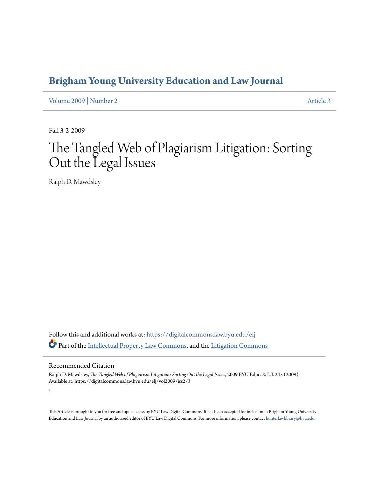## **[Brigham Young University Education and Law Journal](https://digitalcommons.law.byu.edu/elj?utm_source=digitalcommons.law.byu.edu%2Felj%2Fvol2009%2Fiss2%2F3&utm_medium=PDF&utm_campaign=PDFCoverPages)**

[Volume 2009](https://digitalcommons.law.byu.edu/elj/vol2009?utm_source=digitalcommons.law.byu.edu%2Felj%2Fvol2009%2Fiss2%2F3&utm_medium=PDF&utm_campaign=PDFCoverPages) | [Number 2](https://digitalcommons.law.byu.edu/elj/vol2009/iss2?utm_source=digitalcommons.law.byu.edu%2Felj%2Fvol2009%2Fiss2%2F3&utm_medium=PDF&utm_campaign=PDFCoverPages) [Article 3](https://digitalcommons.law.byu.edu/elj/vol2009/iss2/3?utm_source=digitalcommons.law.byu.edu%2Felj%2Fvol2009%2Fiss2%2F3&utm_medium=PDF&utm_campaign=PDFCoverPages)

Fall 3-2-2009

# The Tangled Web of Plagiarism Litigation: Sorting Out the Legal Issues

Ralph D. Mawdsley

Follow this and additional works at: [https://digitalcommons.law.byu.edu/elj](https://digitalcommons.law.byu.edu/elj?utm_source=digitalcommons.law.byu.edu%2Felj%2Fvol2009%2Fiss2%2F3&utm_medium=PDF&utm_campaign=PDFCoverPages) Part of the [Intellectual Property Law Commons,](http://network.bepress.com/hgg/discipline/896?utm_source=digitalcommons.law.byu.edu%2Felj%2Fvol2009%2Fiss2%2F3&utm_medium=PDF&utm_campaign=PDFCoverPages) and the [Litigation Commons](http://network.bepress.com/hgg/discipline/910?utm_source=digitalcommons.law.byu.edu%2Felj%2Fvol2009%2Fiss2%2F3&utm_medium=PDF&utm_campaign=PDFCoverPages)

#### Recommended Citation

.

Ralph D. Mawdsley, *The Tangled Web of Plagiarism Litigation: Sorting Out the Legal Issues*, 2009 BYU Educ. & L.J. 245 (2009). Available at: https://digitalcommons.law.byu.edu/elj/vol2009/iss2/3

This Article is brought to you for free and open access by BYU Law Digital Commons. It has been accepted for inclusion in Brigham Young University Education and Law Journal by an authorized editor of BYU Law Digital Commons. For more information, please contact [hunterlawlibrary@byu.edu.](mailto:hunterlawlibrary@byu.edu)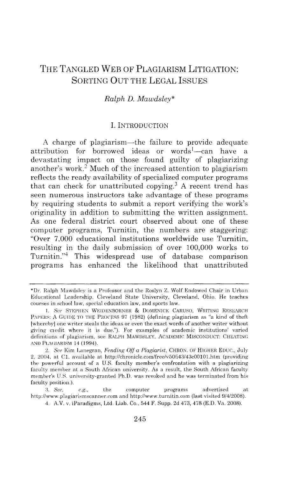### THE TANGLED WEB OF PLAGIARISM LITIGATION: SORTING OUT THE LEGAL ISSUES

#### *Ralph D. Mawdsley\**

#### I. INTRODUCTION

A charge of plagiarism—the failure to provide adequate attribution for borrowed ideas or words<sup>1</sup>—can have a devastating impact on those found guilty of plagiarizing another's work.<sup>2</sup> Much of the increased attention to plagiarism reflects the ready availability of specialized computer programs that can check for unattributed copying.<sup>3</sup> A recent trend has seen numerous instructors take advantage of these programs by requiring students to submit a report verifying the work's originality in addition to submitting the written assignment. As one federal district court observed about one of these computer programs, Turnitin, the numbers are staggering: "Over 7,000 educational institutions worldwide use Turnitin, resulting in the daily submission of over 100,000 works to Turnitin."4 This widespread use of database comparison programs has enhanced the likelihood that unattributed

<sup>\*</sup>Dr. Ralph Mawdsley is a Professor and the Roslyn Z. Wolf Endowed Chair in Urban Educational Leadership. Cleveland State University, Cleveland, Ohio. He teaches courses in school law, special education law, and sports law.

<sup>1.</sup> See STEPHEN WEIDENBORNER & DOMENICK CARUSO, WRITING RESEARCH PAPERS: A GUIDE TO THE PROCESS 97 (1982) (defining plagiarism as "a kind of theft lwherehyJ one writer steals the ideas or even the exact words of another writer without giving credit where it is due."). For examples of academic institutions' varied definitions of plagiarism, see RALPH MAWDSLEY, ACADEMIC MISCONDUCT: CHEATING AND PLAGIARISM 14 (1994).

<sup>2.</sup> *See* Kim Lanegran, *Fending Off a Plagiarist,* CHRON. OF HIGHER Eouc., July 2. 2004, at C1, available at http://chronicle.com/free/v50/i43/43c00101.htm (providing the powerful account of a U.S. faculty member's confrontation with a plagiarizing faculty member at a South African university. As a result, the South African faculty member's U.S. university-granted Ph.D. was revoked and he was terminated from his faculty position.).

<sup>:3.</sup> *Sec, e.g.,* the computer programs advertised at http://www.plagiarismscanner.com and http://www.turnitin.com (last visited 9/4/2008).

<sup>4.</sup> A.V. v. iPa radigms, Ltd. Liab. Co., 544 F . Supp. 2d 473, 478 (E.D. Va. 2008).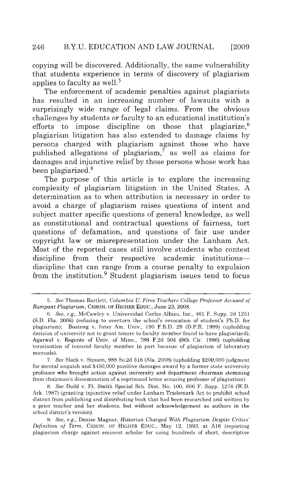copying will be discovered. Additionally, the same vulnerability that students experience in terms of discovery of plagiarism applies to faculty as well.<sup>5</sup>

The enforcement of academic penalties against plagiarists has resulted in an increasing number of lawsuits with a surprisingly wide range of legal claims. From the obvious challenges by students or faculty to an educational institution's efforts to impose discipline on those that plagiarize,<sup>6</sup> plagiarism litigation has also extended to damage claims by persons charged with plagiarism against those who have published allegations of plagiarism,<sup>7</sup> as well as claims for damages and injunctive relief by those persons whose work has been plagiarized. 8

The purpose of this article is to explore the increasing complexity of plagiarism litigation in the United States. A determination as to when attribution is necessary in order to avoid a charge of plagiarism raises questions of intent and subject matter specific questions of general knowledge, as well as constitutional and contractual questions of fairness, tort questions of defamation, and questions of fair use under copyright law or misrepresentation under the Lanham Act. Most of the reported cases still involve students who contest discipline from their respective academic institutionsdiscipline that can range from a course penalty to expulsion from the institution. 9 Student plagiarism issues tend to focus

<sup>5.</sup> *See* Thomas Bartlett, *Columbia U. Fires Teachers College Professor Accused of Rampant Plagiarism,* CHRON. OF HIGHER EDUC. , June 23, 2008.

<sup>6.</sup> *See, e.g.,* McCawley v. Universidad Carlos Albizu, Inc., 461 F. Supp. 2d 1251 (S.D. Fla. 2006) (refusing to overturn the school's revocation of student's Ph.D. for plagiarism); Boateng v. Inter Am. Univ. , 190 F.R.D. 29 (D.P.R. 1999) (upholding decision of university not to grant tenure to faculty member found to have plagiarized); Agarwal v. Regents of Univ. of Minn., 788 F.2d 504 (8th Cir. 1986) (upholding termination of tenured faculty member in part because of plagiarism of laboratory manuals).

<sup>7.</sup> *See* Slack v. Stream, 988 So.2d 516 (Ala. 2008) (upholding \$200,000 judgment for mental anguish and \$450,000 punitive damages award by a former state university professor who brought action against university and department chairman stemming from chairman's dissemination of a reprimand letter accusing professor of plagiarism).

<sup>8.</sup> *See* Dodd v. Ft. Smith Special Sch. Dist. No. 100, 666 F. Supp. 1278 (W.D. Ark. 1987) (granting injunctive relief under Lanham Trademark Act to prohibit school district from publishing and distributing book that had been researched and written by a prior teacher and her students, but without acknowledgement as authors in the school district's version).

<sup>9.</sup> *See, e.g.,* Denise Magner, *Historian Charged With Plagiarism Despite Critics' Definition of Term,* CHRON. OF HIGHER EDUC., May 12, 1993, at A16 (reporting plagiarism charge against eminent scholar for using hundreds of short, descriptive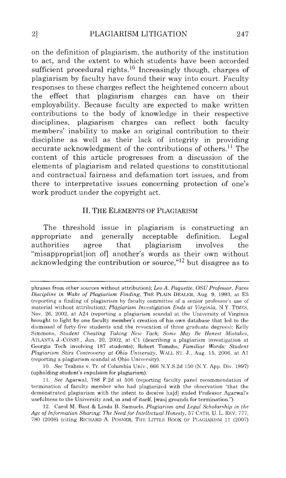on the definition of plagiarism, the authority of the institution to act, and the extent to which students have been accorded sufficient procedural rights.<sup>10</sup> Increasingly though, charges of plagiarism by faculty have found their way into court. Faculty responses to these charges reflect the heightened concern about the effect that plagiarism charges can have on their employability. Because faculty are expected to make written contributions to the body of knowledge in their respective disciplines, plagiarism charges can reflect both faculty members' inability to make an original contribution to their discipline as well as their lack of integrity in providing accurate acknowledgment of the contributions of others.<sup>11</sup> The content of this article progresses from a discussion of the elements of plagiarism and related questions to constitutional and contractual fairness and defamation tort issues, and from there to interpretative issues concerning protection of one's work product under the copyright act.

#### II. THE ELEMENTS OF PLAGIARISM

The threshold issue in plagiarism is constructing an appropriate and generally acceptable definition. Legal authorities agree that plagiarism involves the "misappropriat[ion of] another's words as their own without acknowledging the contribution or source," $^{12}$  but disagree as to

phrases from other sources without attribution); *Leo* A. *Paquette, OSU Professor. Faces Discipline in Wake of Plagiarism Finding,* THE PLAIN DEALEH, Aug. 9, 1993, at E5 (reporting a finding of plagiarism by faculty committee of a senior professor's use of material without attribution); *Plagiarism Investigation Ends at Virginia*, N.Y. TIMES, Nov. 26, 2002, at A24 (reporting a plagiarism scandal at the University of Virginia brought to light by one faculty member's creation of his own database that led to the dismissal of forty.five students and the revocation of three graduate degrees); Kelly Simmons, *Student Cheating Taking New Tack; Some May Be Honest Mistakes,*  ATLANTA J.-CONST., Jan. 20, 2002, at C1 (describing a plagiarism investigation at Georgia Tech involving 187 students); Robert Tomsho, *Familiar Words: Student Plagiarism Stirs Controversy at Ohio University ,* WALL ST. J., Aug. 15, 2006, at Al (reporting a plagiarism scandal at Ohio University).

<sup>10.</sup> *See* Trahms v. Tr. of Columbia Univ., 666 N.Y.S.2d 150 (N.Y. App. Div. 1997) (upholding student's expulsion for plagiarism).

<sup>11.</sup> *See* Agarwal, 788 F.2d at 506 (reporting faculty panel recommendation of termination of faculty member who had plagiarized with the observation "that the demonstrated plagiarism with the intent to deceive ha[d) ended Professor Agarwal's usefulness to the University and, in and of itself, [was] grounds for termination.").

<sup>12.</sup> Carol M. Bast & Linda B. Samuels, *Plagiarism and Legal Scholarship in the Age of Information Sharing: The Need for Intellectual Honesty,* 57 CATH. U. L. REV. 777, 780 (2008) (citing RICHARD A. POSNER, THE LITTLE BOOK OF PLAGIARISM 11 (2007)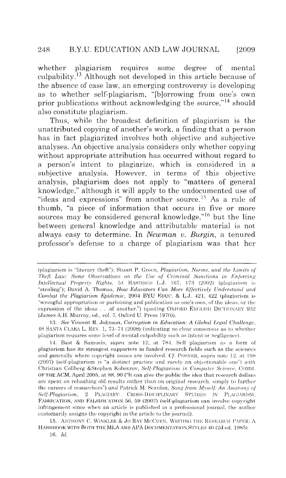whether plagiarism requires some degree of mental culpability.<sup>13</sup> Although not developed in this article because of the absence of case law, an emerging controversy is developing as to whether self-plagiarism, "[b]orrowing from one's own prior publications without acknowledging the source,"<sup>14</sup> should also constitute plagiarism.

Thus, while the broadest definition of plagiarism is the unattributed copying of another's work, a finding that a person has in fact plagiarized involves both objective and subjective analyses. An objective analysis considers only whether copying without appropriate attribution has occurred without regard to a person's intent to plagiarize, which is considered in a subjective analysis. However, in terms of this objective analysis, plagiarism does not apply to "matters of general knowledge," although it will apply to the undocumented use of "ideas and expressions" from another source.<sup>15</sup> As a rule of thumb, "a piece of information that occurs in five or more sources may be considered general knowledge,"<sup>16</sup> but the line between general knowledge and attributable material is not always easy to determine. In *Newman u. Burgin,* a tenured professor's defense to a charge of plagiarism was that her

<sup>(</sup>plagiarism is "literary theft"): Stuart P. Green, *Plagiarism*, *Norms, and the Limits of Theft Law: Some Observations on the Use of Criminal Sanctions in Enforcing Intellectual Property Rights*, 54 HASTINGS L.J. 167, 173 (2002) (plagiarism is "stealing"); David A. Thomas, *How Educators Can More Effectively Understand and Combat the Plagiarism Epidemic,* 2004 BYU EDUC. & L.J. 421, 422 (plagiarism is "wrongful appropriation or purloining and publication as one's own, of the ideas. or the expression of the ideas . . .of another.") (quoting OXFORD ENGLISH DICTIONARY  $932$ (James A.H. Murray, ed., vol. 7, Oxford U. Press 1970)).

<sup>13.</sup> *See Vincent R. Johnson, Corruption in Education: A Global Legal Challenge,*  $48$  SANTA CLARA L. REV. 1, 73-74 (2008) (indicating no clear consensus as to whether plagiarism requires some level of mental culpability such as intent or negligence).

<sup>14.</sup> Bast & Samuels, *supra* note 12, at 784. Self plagiarism as a form of plagiarism has its strongest supporters in funded research fields such as the sciences and generally where copyright issues are involved. *Cf.* POSNER, supra note 12, at 108  $(2007)$  (self-plagiarism is "a distinct practice and rarely an objectionable one") *with* Christian Collberg &Stephen Kohourov, *Self-Plagiarism in Computer Science*, COMM. OF THE ACM, April 2005, at 88, 90 ("It can give the public the idea that research dollars are spent on rehashing old results rather than on original research, simply to further the careers of researchers") and Patrick M. Scanlon, *Song from Myself: An Anatomy of* Self-Plagiarism, 2 PLAGIARY: CROSS-DISCIPLINARY STUDIES IN PLAGIARISM, FABRICATION, AND FALSIFICATION 56, 59 (2007) (self-plagiarism can involve copyright infringement since when an article is published in a professional journal, the author customarily assigns the copyright in the article to the journal).

<sup>15.</sup> ANTHONY C. WINKLER & JO RAY MCCUEN, WRITING THE RESEARCH PAPER: A HANDBOOK WITH BOTH THE MLA AND APA DOCUMENTATION STYLES 40 (2d ed. 1985). 16. *!d.*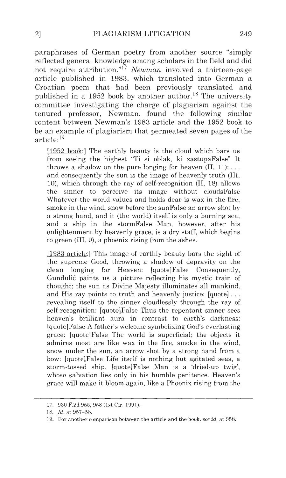paraphrases of German poetry from another source "simply reflected general know ledge among scholars in the field and did not require attribution."<sup>17</sup> Newman involved a thirteen-page article published in 1983, which translated into German a Croatian poem that had been previously translated and published in a 1952 book by another author.<sup>18</sup> The university committee investigating the charge of plagiarism against the tenured professor, Newman, found the following similar content between Newman's 1983 article and the 1952 book to be an example of plagiarism that permeated seven pages of the article: <sup>19</sup>

[1952 book:] The earthly beauty is the cloud which bars us from seeing the highest "Ti si oblak, ki zastupaFalse'' It throws a shadow on the pure longing for heaven  $(II, 11)$ :... and consequently the sun is the image of heavenly truth (III, 10), which through the ray of self-recognition (II, 18) allows the sinner to perceive its image without cloudsFalse Whatever the world values and holds dear is wax in the fire, smoke in the wind, snow before the sunFalse an arrow shot by a strong hand, and it (the world) itself is only a burning sea, and a ship in the stormFalse Man, however, after his enlightenment by heavenly grace, is a dry staff, which begins to green (III, 9), a phoenix rising from the ashes.

[1983 article:] This image of earthly beauty bars the sight of the supreme Good, throwing a shadow of depravity on the clean longing for Heaven: [quote]False Consequently, Gundulic paints us a picture reflecting his mystic train of thought; the sun as Divine Majesty illuminates all mankind, and His ray points to truth and heavenly justice:  $[quoter] \ldots$ revealing itself to the sinner cloudlessly through the ray of self-recognition: [quote]False Thus the repentant sinner sees heaven's brilliant aura in contrast to earth's darkness: [quote]False A father's welcome symbolizing God's everlasting grace: [quote]False The world is superficial; the objects it admires most are like wax in the fire, smoke in the wind, snow under the sun, an arrow shot by a strong hand from a bow: [quote]False Life itself is nothing but agitated seas, a storm-tossed ship. [quote]False Man is a 'dried-up twig', whose salvation lies only in his humble penitence. Heaven's grace will make it bloom again, like a Phoenix rising from the

<sup>17. 930</sup> F.2d 955, 958 (1st Cir. 1991).

<sup>18.</sup> *Id.* at 957-58.

<sup>19.</sup> For another comparison between the article and the book, *see id.* at 958.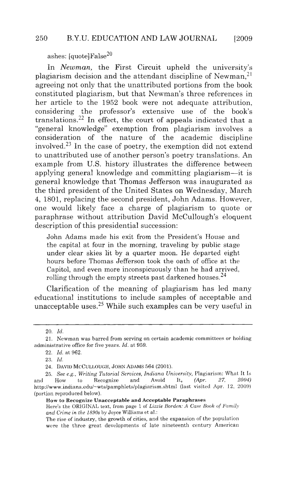ashes: [quote]False<sup>20</sup>

In *Newman,* the First Circuit upheld the university's plagiarism decision and the attendant discipline of Newman,  $2<sup>1</sup>$ agreeing not only that the unattributed portions from the book constituted plagiarism, but that Newman's three references in her article to the 1952 book were not adequate attribution, considering the professor's extensive use of the book's translations. 22 In effect, the court of appeals indicated that a "general knowledge" exemption from plagiarism involves a consideration of the nature of the academic discipline involved.<sup>23</sup> In the case of poetry, the exemption did not extend to unattributed use of another person's poetry translations. An example from U.S. history illustrates the difference between applying general knowledge and committing plagiarism-it is general knowledge that Thomas Jefferson was inaugurated as the third president of the United States on Wednesday, March 4, 1801, replacing the second president, John Adams. However, one would likely face a charge of plagiarism *to* quote or paraphrase without attribution David McCullough's eloquent description of this presidential succession:

John Adams made his exit from the President's House and the capital at four in the morning, traveling by public stage under clear skies lit by a quarter moon. He departed eight hours before Thomas Jefferson took the oath of office at the Capitol, and even more inconspicuously than he had arrived, rolling through the empty streets past darkened houses.<sup>24</sup>

Clarification of the meaning of plagiarism has led many educational institutions to include samples of acceptable and unacceptable uses.<sup>25</sup> While such examples can be very useful in

Here's the ORIGINAL text, from page 1 of *Lizzie Borden: A Case Book of Family* and Crime in the 1890s by Joyce Williams et al.:

<sup>20.</sup> *!d.* 

<sup>21.</sup> Newman was barred from serving on certain academic committees or holding administrative office for five years. *ld.* at 959.

<sup>22.</sup> *ld.* at 962.

<sup>23.</sup> *!d.* 

<sup>24.</sup> DAVID MCCULLOUGH, JOHN ADAMS 564 (2001).

<sup>25.</sup> *See e.g., Writing Tutorial Services, Indiana University, Plagiarism: What It Is*<br>How to Recognize and Avoid It, (Apr. 27, 2004) and How to Recognize and Avoid It, *(Apr. 27, 2004)*  http://www.indiana.edu/-wts/pamphlets/plagiarism.shtml (last visited Apr. 12, 2009) (portion reproduced below).

How to Recognize Unacceptable and Acceptable Paraphrases

The rise of industry, the growth of cities, and the expansion of the population were the three great developments of late nineteenth century American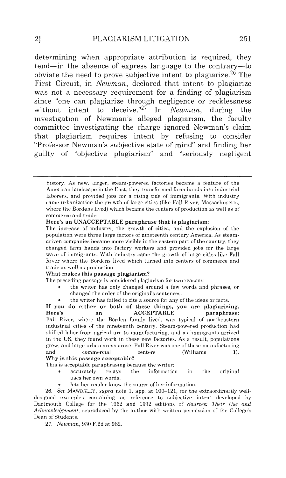determining when appropriate attribution is required, they tend-in the absence of express language to the contrary-to obviate the need to prove subjective intent to plagiarize.<sup>26</sup> The First Circuit, in *Newman*, declared that intent to plagiarize was not a necessary requirement for a finding of plagiarism since "one can plagiarize through negligence or recklessness without intent to deceive."27 In *Newman,* during the investigation of Newman's alleged plagiarism, the faculty committee investigating the charge ignored Newman's claim that plagiarism requires intent by refusing to consider "Professor Newman's subjective state of mind" and finding her guilty of "objective plagiarism" and "seriously negligent

#### What makes this passage plagiarism?

The preceding passage is considered plagiarism for two reasons:

- the writer has only changed around a few words and phrases, or chan ged the order of the original's sentences.
- the writer has failed to cite a source for any of the ideas or facts.

If you do either or both of these things, you are plagiarizing, ACCEPTABLE Fall River, where the Borden family lived, was typical of northeastern industrial cities of the nineteenth century. Steam-powered production had shifted labor from agriculture to manufacturing, and as immigrants arrived in the US, they found work in these new factories. As a result, populations grew, and large urban areas arose. Fall River was one of these manufacturing and commercial centers (Williams 1). Why is this passage acceptable?

This is acceptable paraphrasing because the writer:

- accurately relays the information in the original  $\bullet$ uses her own words.
- lets her reader know the source of her information.

26. *See* MAWDSLEY, *supra* note 1, app. at 100-121, for the extraordinarily welldesigned examples containing no reference to subjective intent developed by Dartmouth College for the 1962 and 1992 editions of *Sources: Their Use and Acknowledgement,* reproduced by the author with written permission of the College's Dean of Students.

27. *Newman,* 930 F.2d at 962.

history. As new, larger, steam-powered factories became a feature of the American landscape in the East, they transformed farm hands into industrial la borers, and provided jobs for a rising tide of immigrants. With industry came urbanization the growth of large cities (like Fall River, Massachusetts, where the Bordens lived) which became the centers of production as well as of commerce and trade.

Here's an UNACCEPTABLE paraphrase that is plagiarism:

The increase of industry, the growth of cities, and the explosion of the population were three large factors of nineteenth century America. As steamdriven companies became more visible in the eastern part of the country, they changed farm hands into factory workers and provided jobs for the large wave of immigrants. With industry came the growth of large cities like Fall River where the Bordens lived which turned into centers of commerce and trade as well as production.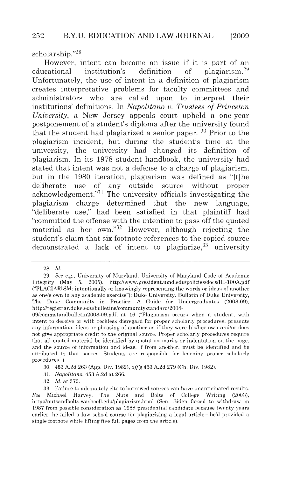scholarship."<sup>28</sup>

However, intent can become an issue if it is part of an educational institution's definition of plagiarism.29 Unfortunately, the use of intent in a definition of plagiarism creates interpretative problems for faculty committees and administrators who are called upon to interpret their institutions' definitions. In *Napolitano* u. *Trustees of Princeton University*, a New Jersey appeals court upheld a one-year postponement of a student's diploma after the university found that the student had plagiarized a senior paper.  $30$  Prior to the plagiarism incident, but during the student's time at the university, the university had changed its definition of plagiarism. In its 1978 student handbook, the university had stated that intent was not a defense to a charge of plagiarism, but in the 1980 iteration, plagiarism was defined as "[t]he deliberate use of any outside source without proper acknowledgement."<sup>31</sup> The university officials investigating the plagiarism charge determined that the new language, "deliberate use," had been satisfied in that plaintiff had "committed the offense with the intention to pass off the quoted material as her own."32 However, although rejecting the student's claim that six footnote references to the copied source demonstrated a lack of intent to plagiarize.<sup>33</sup> university

3 1. *Napolitano,* 453 A.2d at 266.

32. *ld.* at 270.

<sup>28.</sup> *Td.* 

<sup>29.</sup> *See e.g.,* U niversity of Maryland, University of Maryland Code of Academic Integrity (May 5, 2005). http://www.president.umd.edu/policies/docs/III-100A.pdf ("PLAGIARISM: intentionally or knowingly representing the words or ideas of another as one's own in any academic exercise"); Duke University, Bulletin of Ouke University, The Duke Community in Practice: A Guide for Undergraduates (2008-09). http://registrar.duke.edu/bulletins/communitystandard/2008-

<sup>09/</sup>commstandbulletin2008-09.pdf, at 16 ("Plagiarism occurs when a student, with intent to deceive or with reckless disregard for proper scholarly procedures, presents a ny information, ideas or phrasing of another as if they were his/her own and/or does not give appropriate credit to the original source. Proper scholarly procedures require that all quoted material be identified by quotation marks or indentation on the page, and the source of information and ideas, if from another, must be identified and be a ttributed to that source. Students are responsible for learning proper scholarly procedures.'')

<sup>30. 453</sup> A.2d 26a (App. Div. 1982), *aff'g* 453 A.2d 279 (Ch . Div. 1982).

<sup>33.</sup> Failure to adequately cite to borrowed sources can have unanticipated results. See Michael Harvey, The Nuts and Bolts of College Writing (2003), http://nutsandbolts.washcoll.edu/plagiarism.html (Sen. Biden forced to withdraw in 1987 from possible consideration as 1988 presidential candidate because twenty years earlier, he failed a law school course for plagiarizing a legal article—he'd provided a single footnote while lifting five full pages from the article).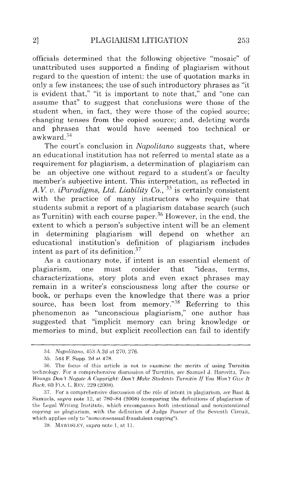officials determined that the following objective "mosaic" of unattributed uses supported a finding of plagiarism without regard to the question of intent: the use of quotation marks in only a few instances; the use of such introductory phrases as "it is evident that," "it is important to note that," and "one can assume that" to suggest that conclusions were those of the student when, in fact, they were those of the copied source; changing tenses from the copied source; and, deleting words and phrases that would have seemed too technical or awkward. <sup>34</sup>

The court's conclusion in *Napolitano* suggests that, where an educational institution has not referred to mental state as a requirement for plagiarism, a determination of plagiarism can be an objective one without regard to a student's or faculty member's subjective intent. This interpretation, as reflected in A.V. *v. iParadigms, Ltd. Liability Co.*,  $35$  is certainly consistent with the practice of many instructors who require that students submit a report of a plagiarism database search (such as Turnitin) with each course paper. 36 However, in the end, the extent to which a person's subjective intent will be an element in determining plagiarism will depend on whether an educational institution's definition of plagiarism includes intent as part of its definition. 37

As a cautionary note, if intent is an essential element of plagiarism, one must consider that "ideas, terms, characterizations, story plots and even exact phrases may remain in a writer's consciousness long after the course or book, or perhaps even the knowledge that there was a prior source, has been lost from memory."<sup>38</sup> Referring to this phenomenon as "unconscious plagiarism," one author has suggested that "implicit memory can bring knowledge or memories to mind, but explicit recollection can fail to identify

<sup>34.</sup> *Napolitano*, 453 A.2d at 270, 276.

<sup>35. 544</sup> F. Supp. 2d at 478.

*<sup>:36.</sup>* The focus of this artide is not to examine the merits of using Turnitin technology. For a comprehensive discussion of Turnitin. *see* Samuel J. Horovitz, *Two Wrongs Don't Negate A Copyright: Don't Make Students Turnitin If You Won't Give It Rack*, 60 FLA. L. REV. 229 (2008).

<sup>37.</sup> For a comprehensive discussion of the role of intent in plagiarism, see Bast & Samuels, *supra* note 12, at 780-84 (2008) (comparing the definitions of plagiarism of the Legal Writing Institute, which encompasses both intentional and nonintentional copying as plagiarism, with the definition of Judge Posner of the Seventh Circuit, which applies only to "nonconsensual fraudulent copying").

<sup>:38.</sup> MAWDSLEY, *supra* note I, at 11.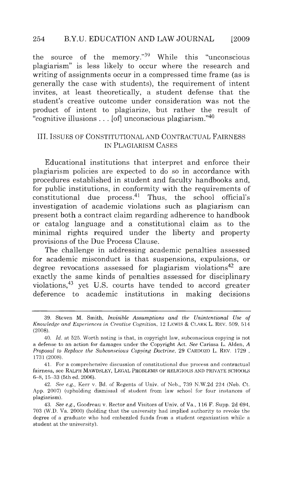the source of the memory."39 While this "unconscious plagiarism" is less likely to occur where the research and writing of assignments occur in a compressed time frame (as is generally the case with students), the requirement of intent invites, at least theoretically, a student defense that the student's creative outcome under consideration was not the product of intent to plagiarize, but rather the result of "cognitive illusions ... [of] unconscious plagiarism."40

#### III. ISSUES OF CONSTITUTIONAL AND CONTRACTUAL FAIRNESS IN PLAGIARISM CASES

Educational institutions that interpret and enforce their plagiarism policies are expected to do so in accordance with procedures established in student and faculty handbooks and, for public institutions, in conformity with the requirements of constitutional due process. $41$  Thus, the school official's investigation of academic violations such as plagiarism can present both a contract claim regarding adherence to handbook or catalog language and a constitutional claim as to the minimal rights required under the liberty and property provisions of the Due Process Clause.

The challenge in addressing academic penalties assessed for academic misconduct is that suspensions, expulsions, or degree revocations assessed for plagiarism violations<sup>42</sup> are exactly the same kinds of penalties assessed for disciplinary violations, 43 yet U.S. courts have tended to accord greater deference to academic institutions in making decisions

<sup>39.</sup> Steven M. Smith, *Invisible Assumptions and the Unintentional Use of Knowledge and Experiences in Creative Cognition, 12 LEWIS & CLARK L. REV.* 509, 514 (2008).

<sup>40.</sup> *Id.* at 525. Worth noting is that, in copyright law, subconscious copying is not a defense to an action for damages under the Copyright Act. *See* Carissa L. Alden, *A Proposal to Replace the Subconscious Copyinfif Doctrine,* 29 CARDOZO L. REV. 1729 , 1731 (2008).

<sup>41.</sup> For a comprehensive discussion of constitutional due process and contractual fairness, see RALPH MAWDSLEY, LEGAL PROBLEMS OF RELIGIOUS AND PRIVATE SCHOOLS 6-8, 15-33 (5th ed. 2006).

<sup>42.</sup> *See e.g.,* Kerr v. Bd. of Regents of Univ. of Neb., 739 N.W. 2d 224 (Neb. Ct. App. 2007) (upholding dismissal of student from law school for four instances of plagiarism).

<sup>43.</sup> *See e.g,* Goodreau v. Rector a nd Visitors of Univ, of Va., 116 F. Supp. 2d 694, 703 (W.D. Va. 2000) (holding that the university had implied authority to revoke the degree of a graduate who had embezzled funds from a student organization while a student at the university).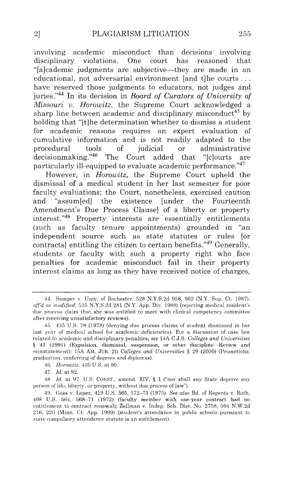involving academic misconduct than decisions involving disciplinary violations. One court has reasoned that "[a]cademic judgments are subjective-they are made in an educational, not adversarial environment [and t]he courts ... have reserved those judgments to educators, not judges and juries."44 In its decision in *Board of Curators of University of Missouri v. Horowitz,* the Supreme Court acknowledged a sharp line between academic and disciplinary misconduct<sup>45</sup> by holding that "[t]he determination whether to dismiss a student for academic reasons requires an expert evaluation of cumulative information and is not readily adapted to the procedural tools of judicial or administrative<br>decisionmaking."<sup>46</sup> The Court added that "[clourts are The Court added that "[c]ourts are particularly ill-equipped to evaluate academic performance.<sup>"47</sup>

However, in *Horowitz,* the Supreme Court upheld the dismissal of a medical student in her last semester for poor faculty evaluations; the Court, nonetheless, exercised caution and "assum[ed] the existence [under the Fourteenth Amendment's Due Process Clause] of a liberty or property interest."48 Property interests are essentially entitlements (such as faculty tenure appointments) grounded in "an independent source such as state statutes or rules [or contracts] entitling the citizen to certain benefits."<sup>49</sup> Generally, students or faculty with such a property right who face penalties for academic misconduct fail in their property interest claims as long as they have received notice of charges,

47. *ld.* at 92.

48. *ld.* at 97. U.S. CONST., amend. XIV, § 1 ("nor shall any State deprive any person of life, liberty, or property, without due process of law").

<sup>44.</sup> Samper v. Univ. of Rochester, 528 N.Y.S.2d 958, 962 (N.Y. Sup. Ct. 1987), aff'd as modified, 535 N.Y.S.2d 281 (N.Y. App. Div. 1988) (rejecting medical resident's due process claim that she was entitled to meet with clinical competency committee after receiving unsatisfactory reviews).

<sup>45. 435</sup> U.S. 78 (1978) (denying due process claims of student dismissed in her last year of medical school for academic deficiencies). For a discussion of case law related to academic and disciplinary penalties, *see* 14A C.J.S. *Colleges and Universities*  § 41 (1991) (Expulsion, dismissal, suspension, or other discipline-Review and reinstatement); 15A AM. JUR. 2D *Colleges and Universities* § 29 (2000) (Promotions; graduation; conferring of degrees and diplomas).

<sup>46.</sup> *Horowitz,* 435 U.S. at 90.

<sup>49.</sup> Goss v. Lopez, 419 U.S. 565, 572-73 (1975). *See also* Bd. of Regents v. Roth, 408 U.S. 564, 568-71 (1972) (faculty member with one-year contract had no entitlement to contract renewal); Zellman v. Indep. Sch. Dist. No. 2758, 594 N.W.2d 216, 220 (Minn. Ct. App. 1999) (student's attendance in public schools pursuant to state compulsory attendance statute is an entitlement).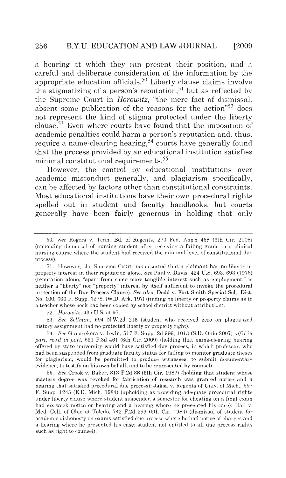a hearing at which they can present their position, and a careful and deliberate consideration of the information by the appropriate education officials.<sup>50</sup> Liberty clause claims involve the stigmatizing of a person's reputation,<sup>51</sup> but as reflected by the Supreme Court in *Horowitz,* "the mere fact of dismissal, absent some publication of the reasons for the action<sup>"52</sup> does not represent the kind of stigma protected under the liberty clause.<sup>53</sup> Even where courts have found that the imposition of academic penalties could harm a person's reputation and, thus, require a name-clearing hearing,  $\frac{5}{4}$  courts have generally found that the process provided by an educational institution satisfies minimal constitutional requirements.<sup>55</sup>

However, the control by educational institutions over academic misconduct generally, and plagiarism specifically, can be affected by factors other than constitutional constraints. Most educational institutions have their own procedural rights spelled out in student and faculty handbooks, but courts generally have been fairly generous in holding that only

52. *Horowitz*, 435 U.S. at 97.

53. See Zellman, 594 N.W.2d 216 (student who received zero on plagiarized history assignment had no protected liberty or property right).

54. *See* Gunasekera v. Irwin , G17 F. Supp. 2d 999, 1 OJ:i (S.D. Ohio 2007) *aff'd in part, rcu'd in part,* 5Gl F.3d 461 (6th Cir. 2009) (holding that name-clearing hearing offered by state university would have satisfied due process, in which professor. who had been suspended from graduate faculty status for failing to monitor graduate theses for plagiarism, would be permitted to produce witnesses, to submit documentary evidence, to testify on his own behalf, and to be represented by counsel).

55. *See* Crook v. Baker, 813 F.2d 88 (6th Cir. 1987) (holding that student whose masters degree was revoked for fabrication of research was granted notice and a hearing that satisfied procedural due process); Jaksa v. Regents of Univ. of Mich., 597 F. Supp. 1245 (E.D. Mich. 1984) (upholding as providing adequate procedural rights under liberty clause where student suspended a semester for cheating on a final exam had six-week notice or hearing and a hearing where he presented his case); Hall v. Med. Coll. of Ohio at Toledo, 742 F.2d 299 (6th Cir. 1984) (dismissal of student for academic dishonesty on exams satisfied due process where he had notice of charges and a hearing where he presented his case; student not entitled to all due process rights such as right to counsel).

<sup>50.</sup> *See* Rogers v. Tenn. Bd. of Regents, 273 Fed. App'x 458 (6th Cir. 2008) (upholding dismissal of nursing student after receiving a failing grade in a clinical nursing course where the student had received the minimal level of constitutional due process).

<sup>51.</sup> However, the Supreme Court has asserted that a claimant has no liberty or property interest in their reputation alone. *See Paul v. Davis, 424 U.S. 693, 693 (1976)* (reputation alone, "apart from some more tangible interest such as employment," is neither a "liberty" nor "property" interest by itself sufficient to invoke the procedural protection of the Due Process Cla use). *See also,* Dodd v. Fort Smith Special Sch. Dist. No. 100, 666 F. Supp. 1278, (W.D. Ark. 197) (finding no liberty or property claims as to a teacher whose book had been copied by school district without attribution).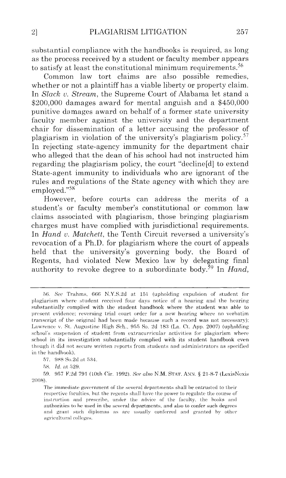substantial compliance with the handbooks is required, as long as the process received by a student or faculty member appears to satisfy at least the constitutional minimum requirements.<sup>56</sup>

Common law tort claims are also possible remedies, whether or not a plaintiff has a viable liberty or property claim. In *Slack u. Stream,* the Supreme Court of Alabama let stand a \$200,000 damages award for mental anguish and a \$450,000 punitive damages award on behalf of a former state university faculty member against the university and the department chair for dissemination of a letter accusing the professor of plagiarism in violation of the university's plagiarism policy.<sup>57</sup> In rejecting state-agency immunity for the department chair who alleged that the dean of his school had not instructed him regarding the plagiarism policy, the court "decline[d] to extend State-agent immunity to individuals who are ignorant of the rules and regulations of the State agency with which they are employed."58

However, before courts can address the merits of a student's or faculty member's constitutional or common law claims associated with plagiarism, those bringing plagiarism charges must have complied with jurisdictional requirements. In *Hand u. Matchett,* the Tenth Circuit reversed a university's revocation of a **Ph.D.** for plagiarism where the court of appeals held that the university's governing body, the Board of Regents, had violated New Mexico law by delegating final authority to revoke degree to a subordinate body.<sup>59</sup> In *Hand*,

<sup>56.</sup> See Trahms, 666 N.Y.S.2d at 151 (upholding expulsion of student for plagiarism where student received four days notice of a hearing and the hearing substantially complied with the student handbook where the student was able to present evidence; reversing trial court order for a new hearing where no verbatim transcript of the original had been made hecause such a record was not necessary); Lawrence v. St. Augustine High Sch., 955 So. 2d 183 (La. Ct. App. 2007) (upholding school's suspension of student from extracurricular activities for plagiarism where school in its investigation substantially complied with its student handbook even though it. did not secure written reports from students and administrators as specified in the handbook).

<sup>57. 988</sup> So.2d at 534.

<sup>58.</sup> *Id.* at 529.

<sup>59. 957</sup> F.2d 791 (10th Cir. 1992). *See also* N.M. STAT. ANN. § 21-8-7 (LexisNexis 2008).

The immediate government of the several departments shall be entrusted to their respective faculties, but the regents shall have the power to regulate the course of instruction and prescribe, under the advice of the faculty, the books and authorities to be used in the several departments, and also to confer such degrees and grant such diplomas as are usually conferred and granted by other agricultural colleges.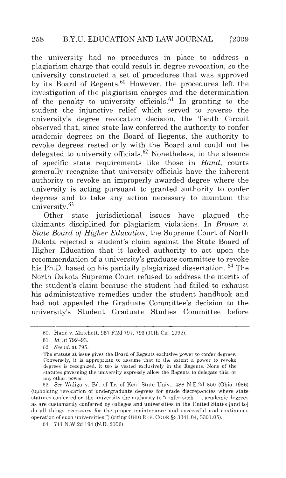the university had no procedures in place to address a plagiarism charge that could result in degree revocation, so the university constructed a set of procedures that was approved by its Board of Regents. $60$  However, the procedures left the investigation of the plagiarism charges and the determination of the penalty to university officials.<sup>61</sup> In granting to the student the injunctive relief which served to reverse the university's degree revocation decision, the Tenth Circuit observed that, since state law conferred the authority to confer academic degrees on the Board of Regents, the authority to revoke degrees rested only with the Board and could not be delegated to university officials. 62 Nonetheless, in the absence of specific state requirements like those in *Hand,* courts generally recognize that university officials have the inherent authority to revoke an improperly awarded degree where the university is acting pursuant to granted authority to confer degrees and to take any action necessary to maintain the university. 63

Other state jurisdictional issues have plagued the claimants disciplined for plagiarism violations. In *Brown v. State Board of Higher Education,* the Supreme Court of North Dakota rejected a student's claim against the State Board of Higher Education that it lacked authority to act upon the recommendation of a university's graduate committee to revoke his Ph.D. based on his partially plagiarized dissertation. 64 The North Dakota Supreme Court refused to address the merits of the student's claim because the student had failed to exhaust his administrative remedies under the student handbook and had not appealed the Graduate Committee's decision to the university's Student Graduate Studies Committee before

63. *Sec* Wa liga v. Bd. of Tr. of Kent State Univ., 488 N.E.2d 850 (Ohio 1986) (upholding revocation of undergraduate degrees for grade discrepancies where state statutes conferred on the university the authority to "confer such . . . academic degrees as are customarily conferred by colleges and universities in the United States [and to] do all things necessary for the proper maintenance and successful and continuous opera tion of such universities.") (citing OHIO REV. CODE §§ 3341.04, 3301.05).

64. 711 N.W.2d 194 (N.D. 2006).

<sup>60.</sup> Hand v. Matchett, 957 F.2d 791, 793 (lOth Cir. 1992).

<sup>61.</sup> Jd. at 792-93.

<sup>62.</sup> *See id.* at 795.

The statute at issue gives the Board of Regents exclusive power to confer degrees. Conversely, it is appropriate to assume that to the extent a power to revoke degrees is recognized, it too is vested exclusively in the Regents. None of the statutes governing the university expressly allow the Regents to delegate this, or any other, power.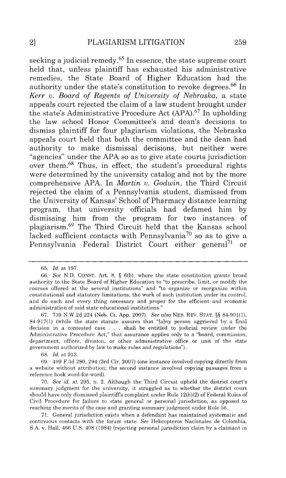seeking a judicial remedy.<sup>65</sup> In essence, the state supreme court held that, unless plaintiff has exhausted his administrative remedies, the State Board of Higher Education had the authority under the state's constitution to revoke degrees. 66 In *Kerr v. Board of Regents of University of Nebraska,* a state appeals court rejected the claim of a law student brought under the state's Administrative Procedure Act (APA). 67 In upholding the law school Honor Committee's and dean's decisions to dismiss plaintiff for four plagiarism violations, the Nebraska appeals court held that both the committee and the dean had authority to make dismissal decisions, but neither were "agencies" under the APA so as to give state courts jurisdiction over them.<sup>68</sup> Thus, in effect, the student's procedural rights were determined by the university catalog and not by the more comprehensive APA. In *Martin v. Godwin,* the Third Circuit rejected the claim of a Pennsylvania student, dismissed from the University of Kansas' School of Pharmacy distance learning program, that university officials had defamed him by dismissing him from the program for two instances of plagiarism.69 The Third Circuit held that the Kansas school lacked sufficient contacts with Pennsylvania<sup>70</sup> so as to give a Pennsylvania Federal District Court either general<sup>71</sup> or

68. *Id.* at 913.

71. General jurisdiction exists when a defendant has maintained systematic and continuous contacts with the forum state. *See* Helicopteros Nacionales de Colombia, S.A. v. Hall, 466 U.S. 408 (1984) (rejecting personal jurisdiction claim by a claimant in

<sup>65.</sup> *ld.* at 197.

<sup>66.</sup> *See* N.D. CONST. Art. 8, § 6(b), where the state constitution grants broad authority to the State Board of Higher Education to "to prescribe, limit, or modify the courses offered at the several institutions" and "to organize or reorganize within constitutional and statutory limitations, the work of each institution under its control, and do each and every thing necessary and proper for the efficient and economic administration of said state educational institutions."

<sup>67. 739</sup> N.W.2d 224 (Neb. Ct. App. 2007). *See also* NEB. REV. STAT. §§ 84-901(1), 84-917(1) (while the state statute assures that "[a]ny person aggrieved by a final decision in a contested case . . . shall be entitled to judicial review under the Administrative Procedure Act," that assurance applies only to a "board, commission, department, officer, division, or other administrative office or unit of the state government authorized by law to make rules and regulations").

<sup>69. 499</sup> F. 3d 290, 294 (3rd Cir. 2007) (one instance involved copying directly from a website without attribution; the second instance involved copying passages from a reference book word-for-word).

<sup>70.</sup> *See id.* at 295, n. 2. Although the Third Circuit upheld the district court's summary judgment for the university, it struggled as to whether the district court should have only dismissed plaintiffs complaint under Rule 12(b)(2) of Federal Rules of Civil Procedure for failure to state general or personal jurisdiction, as opposed to reaching the merits of the case and granting summary judgment under Rule 56.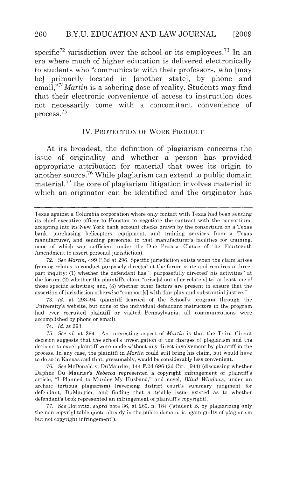specific<sup>72</sup> jurisdiction over the school or its employees.<sup>73</sup> In an era where much of higher education is delivered electronically to students who "communicate with their professors, who [may be] primarily located in [another state], by phone and *email,"74Martin* is a sobering dose of reality. Students may find that their electronic convenience of access to instruction does not necessarily come with a concomitant convenience of process.<sup>75</sup>

#### IV. PROTECTION OF WORK PRODUCT

At its broadest, the definition of plagiarism concerns the issue of originality and whether a person has provided appropriate attribution for material that owes its origin to another source.<sup>76</sup> While plagiarism can extend to public domain material, $77$  the core of plagiarism litigation involves material in which an originator can be identified and the originator has

73. *Id.* at 293-94 (plaintiff learned of the School's program through the University's website, but none of the individual defendant instructors in the program had ever recruited plaintiff or visited Pennsylvania; all communications were accomplished by phone or email).

74. *Id.* at 293.

75. *See id.* at 294 . An interesting aspect of *Martin* is that the Third Circuit decision suggests that the school's investigation of the charges of plagiarism and the decision to expel plaintiff were made without any direct involvement by plaintiff in the process. In any case, the plaintiff in *Martin* could still bring his claim, but would have to do so in Kansas and that, presumably, would be considerably less convenient.

76. *See* McDonald v. DuMaurier, 144 F.2d 696 (2d Cir. 1944) (discussing whether Daphne Du Maurier's *Rebecca* represented a copyright infringement of plaintiff's a rticle, "I Planned to Murder My Husband," and novel, *Blind Windows,* under an archaic tortious plagiarism) (reversing district court's summary judgment for defendant, DuMaurier, and finding that a triable issue existed as to whether defendant's book represented an infringement of plaintiff's copyright).

77. *See* Horovitz, *supra* note 36, at 260, n . 184 ("student B, by plagiarizing only the non-copyrightable quote already in the public domain, is again guilty of plagiarism but not copyright infringement").

Texas against a Columbia corporation where only contact with Texas had been sending its chief executive officer to Houston to negotiate the contract with the consortium, accepting into its New York bank account checks drawn by the consortium on a Texas bank, purchasing helicopters, equipment, and training services from a Texas manufacturer, and sending personnel to that manufacturer's facilities for training, none of which was sufficient under the Due Process Clause of the Fourteenth Amendment to assert personal jurisdiction).

<sup>72.</sup> *See Martin,* 499 F.3d at 296. Specific jurisdiction exists when the claim arises from or relates to conduct purposely directed at the forum state and requires a threepart inquiry: (1) whether the defendant has " 'purposefully directed' his activities" at the forum; (2) whether the plaintiffs claim "arise[s] out of or relate[s] to" at least one of those specific activities; a nd, (3) whether other factors are present to ensure that the assertion of jurisdiction otherwise "comport[s] with 'fair play and substantial justice."'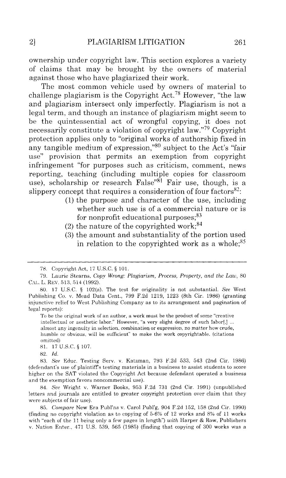ownership under copyright law. This section explores a variety of claims that may be brought by the owners of material against those who have plagiarized their work.

The most common vehicle used by owners of material to challenge plagiarism is the Copyright Act.<sup>78</sup> However, "the law and plagiarism intersect only imperfectly. Plagiarism is not a legal term, and though an instance of plagiarism might seem to be the quintessential act of wrongful copying, it does not necessarily constitute a violation of copyright law."79 Copyright protection applies only to "original works of authorship fixed in any tangible medium of expression,"80 subject to the Act's "fair use" provision that permits an exemption from copyright infringement "for purposes such as criticism, comment, news reporting, teaching (including multiple copies for classroom use), scholarship or research False"81 Fair use, though, is a slippery concept that requires a consideration of four factors $82$ :

- (1) the purpose and character of the use, including whether such use is of a commercial nature or is for nonprofit educational purposes;<sup>83</sup>
- (2) the nature of the copyrighted work;  $84$
- (3) the amount and substantiality of the portion used in relation to the copyrighted work as a whole; $85$

To be the original work of an author, a work must be the product of some "creative intellectual or aesthetic labor." However, "a very slight degree of such labor[,] ... almost any ingenuity in selection, combination or expression, no matter how crude, humble or obvious, will be sufficient" to make the work copyrightable. (citations omitted)

81. 17U.S.C.§107.

82. *ld.* 

83. See Educ. Testing Serv. v. Katzman, 793 F.2d 533, 543 (2nd Cir. 1986) (defendant's use of plaintiffs testing materials in a business to assist students to score higher on the SAT violated the Copyright Act because defendant operated a business and the exemption favors noncommercial use).

84. *See* Wright v. Warner Books, 953 F. 2d 731 (2nd Cir. 1991) (unpublished letters and journals are entitled to greater copyright protection over claim that they were subjects of fair use).

85. *Compare* New Era Publ'ns v. Carol Publ'g, 904 F.2d 152, 158 (2nd Cir. 1990) (finding no copyright violation as to copying of  $5-6%$  of 12 works and 8% of 11 works with "each of the 11 being only a few pages in length") *with* Harper & Row, Publishers v. Nation Enter., 471 U.S. 539, 565 (1985) (finding that copying of 300 works was a

<sup>78.</sup> Copyright Act, 17 U.S.C. § 101.

<sup>79.</sup> Laurie Stearns, *Copy Wrong: Plagiarism, Process, Property, and the Law,* 80 CAL. L. REV. 513, 514 (1992).

<sup>80. 17</sup> U.S.C. § 102(a). The test for originality is not substantial. See West Publishing Co. v. Mead Data Cent., 799 F.2d 1219, 1223 (8th Cir. 1986) (granting injunctive relief to West Publishing Company as to its arrangement and pagination of legal reports):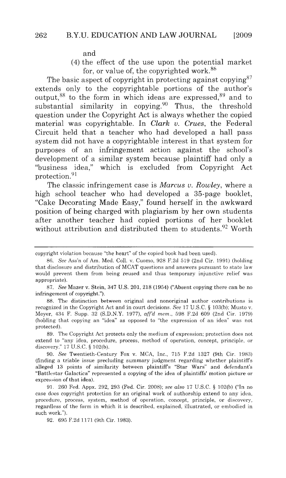and

(4) the effect of the use upon the potential market for, or value of, the copyrighted work. 86

The basic aspect of copyright in protecting against copying  $87$ extends only to the copyrightable portions of the author's output,  $88$  to the form in which ideas are expressed,  $89$  and to substantial similarity in copying. <sup>90</sup> Thus, the threshold question under the Copyright Act is always whether the copied material was copyrightable. In *Clark v. Crues,* the Federal Circuit held that a teacher who had developed a hall pass system did not have a copyrightable interest in that system for purposes of an infringement action against the school's development of a similar system because plaintiff had only a "business idea," which is excluded from Copyright Act protection. <sup>91</sup>

The classic infringement case is *Marcus v. Rowley,* where a high school teacher who had developed a 35-page booklet, "Cake Decorating Made Easy," found herself in the awkward position of being charged with plagiarism by her own students after another teacher had copied portions of her booklet without attribution and distributed them to students.  $92$  Worth

89. The Copyright Act protects only the medium of expression; protection does not extend to "any idea, procedure, process, method of operation, concept, principle, or discovery." 17 U.S.C. § 102(b).

90. *See* Twentieth·Century Fox v. MCA, Inc., 715 F. 2d 1327 (9th Cir. 1983) (finding a triable issue precluding summary judgment regarding whether plaintiffs alleged 13 points of similarity between plaintiffs "Star Wars" and defendant's "Battlestar Galactica" represented a copying of the idea of plaintiffs' motion picture or expression of that idea).

91. 260 Fed. Appx. 292, 293 (Fed. Cir. 2008); *see also* 17 U.S.C. § 102(b) ("In no case does copyright protection for an original work of authorship extend to any idea, procedure, process, system, method of operation, concept, principle, or discovery, regardless of the form in which it is described, explained, illustrated, or embodied in such work.").

92. 695 F.2d 1171 (9th Cir. 1983).

copyright violation because "the heart" of the copied book had been used).

<sup>86.</sup> *See* Ass'n of Am. Med. Coli. v. Cuomo, 928 F.2d 519 (2nd Cir. 1991) (holding that disclosure and distribution of MCAT questions and answers pursuant to state law would prevent them from being reused and thus temporary injunctive relief was appropriate).

<sup>87.</sup> *See* Mazer v. Stein, 347 U.S. 201, 218 (1954) ("Absent copying there can be no infringement of copyright.").

<sup>88.</sup> The distinction between original and nonoriginal author contributions is recognized in the Copyright Act and in court decisions. *Sec* 17 U.S. C. § 103(b); Musto v. Meyer, 434 F. Supp. 32 (S.D.N.Y. 1977), *aff'd mem. ,* 598 F.2d 609 (2nd Cir. 1979) (holding that copying an "idea" as opposed to "the expression of an idea" was not protected).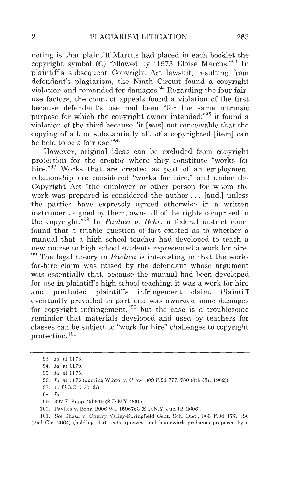noting is that plaintiff Marcus had placed in each booklet the copyright symbol (©) followed by "1973 Eloise Marcus."93 In plaintiffs subsequent Copyright Act lawsuit, resulting from defendant's plagiarism, the Ninth Circuit found a copyright violation and remanded for damages.<sup>94</sup> Regarding the four fairuse factors, the court of appeals found a violation of the first because defendant's use had been "for the same intrinsic purpose for which the copyright owner intended;"95 it found a violation of the third because "it [was] not conceivable that the copying of all, or substantially all, of a copyrighted [item] can be held to be a fair use."96

However, original ideas can be excluded from copyright protection for the creator where they constitute "works for hire."<sup>97</sup> Works that are created as part of an employment relationship are considered "works for hire," and under the Copyright Act "the employer or other person for whom the work was prepared is considered the author ... [and,] unless the parties have expressly agreed otherwise in a written instrument signed by them, owns all of the rights comprised in the copyright."98 In *Pavlica v. Behr,* a federal district court found that a triable question of fact existed as to whether a manual that a high school teacher had developed to teach a new course to high school students represented a work for hire. 99 The legal theory in *Pavlica* is interesting in that the workfor-hire claim was raised by the defendant whose argument was essentially that, because the manual had been developed for use in plaintiffs high school teaching, it was a work for hire and precluded plaintiffs infringement claim. Plaintiff eventually prevailed in part and was awarded some damages for copyright infringement,  $100$  but the case is a troublesome reminder that materials developed and used by teachers for classes can be subject to "work for hire" challenges to copyright protection.<sup>101</sup>

<sup>93.</sup> *!d.* at 1173.

<sup>94.</sup> *Id.* at 1179.

<sup>95.</sup> *Id.* at 1175.

<sup>96.</sup> *ld.* at 1176 (quoting Wihtol v. Crow, 309 F.2d 777, 780 (8th Cir. 1962)).

<sup>97. 17</sup> u.s.c. § 201(b).

<sup>98.</sup> *!d.* 

<sup>99. 397</sup> F. Supp. 2d 519 (S.D.N.Y. 2005).

<sup>100.</sup> Pavlica v. Behr, 2006 WL 1596763 (S.D.N.Y. Jun 12, 2006).

<sup>101.</sup> *See Shaul v. Cherry Valley-Springfield Cent. Sch. Dist.*, 363 F.3d 177, 186 (2nd Cir. 2004) (holding that tests, quizzes, and homework problems prepared by a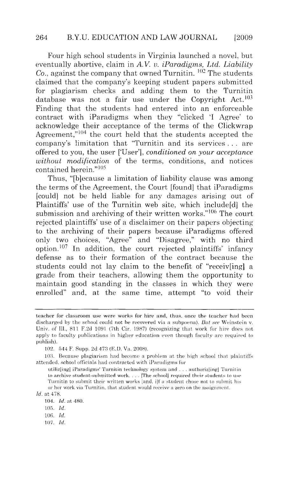#### 264 B.Y.U. EDUCATION AND LAW JOURNAL [2009]

Four high school students in Virginia launched a novel, but eventually abortive, claim in *A. V.* u. *iParadigms, Ltd. Liability*   $Co.$  against the company that owned Turnitin.  $102$  The students claimed that the company's keeping student papers submitted for plagiarism checks and adding them to the Turnitin database was not a fair use under the Copyright  $Act.$ <sup>103</sup> Finding that the students had entered into an enforceable contract with iParadigms when they "clicked 'I Agree' to acknowledge their acceptance of the terms of the Clickwrap Agreement," $104$  the court held that the students accepted the company's limitation that "Turnitin and its services . . . are offered to you, the user ['User'], *conditioned on your acceptance without modification* of the terms, conditions, and notices contained herein." 105

Thus, "[b]ecause a limitation of liability clause was among the terms of the Agreement, the Court [found] that iParadigms [could] not be held liable for any damages arising out of Plaintiffs' use of the Turnitin web site, which include[d] the submission and archiving of their written works."<sup>106</sup> The court rejected plaintiffs' use of a disclaimer on their papers objecting to the archiving of their papers because iParadigms offered only two choices, "Agree" and "Disagree," with no third option.<sup>107</sup> In addition, the court rejected plaintiffs' infancy defense as to their formation of the contract because the students could not lay claim to the benefit of "receiv[ing] a grade from their teachers, allowing them the opportunity to maintain good standing in the classes in which they were enrolled" and, at the same time, attempt "to void their

teacher for classroom use were works for hire and, thus, once the teacher had been discharged by the school could not be recovered via a subpoena). But see Weinstein v. Univ. of Ill., 811 F.2d 1091 (7th Cir. 1987) (recognizing that work for hire does not apply to faculty publications in higher education even though faculty are required to publish).

<sup>102. 544</sup> F. Supp. 2d 473 (E.D. Va. 2008).

<sup>103.</sup> Because plagiarism had become a problem at the high school that plaintiffs attended, school officials had contracted with iParadigms for

utiliz[ing] iParadigms' Turnitin technology system and ... authoriz[ing] Turnitin to archive student-submitted work. . . . [The school] required their students to use Turnitin to submit their written works [and, i]f a student chose not to submit his or her work via Turnitin, that student would receive a zero on the assignment. *ld.* at 478.

<sup>104.</sup> *ld.* at 480.

<sup>105.</sup> *ld.* 

<sup>106.</sup> Jd.

<sup>107.</sup> *ld.*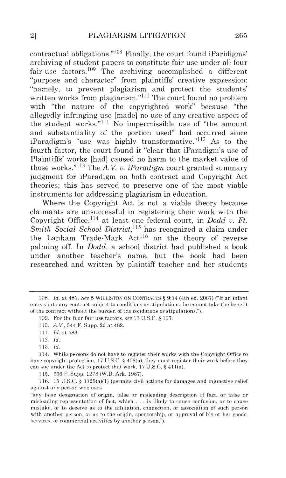contractual obligations." $108$  Finally, the court found iParidigms' archiving of student papers to constitute fair use under all four fair-use factors.<sup>109</sup> The archiving accomplished a different "purpose and character" from plaintiffs' creative expression: "namely, to prevent plagiarism and protect the students' written works from plagiarism." $110$  The court found no problem with "the nature of the copyrighted work" because "the allegedly infringing use [made] no use of any creative aspect of the student works."<sup>111</sup> No impermissible use of "the amount and substantiality of the portion used" had occurred since iParadigm's "use was highly transformative."<sup>112</sup> As to the fourth factor, the court found it "clear that iParadigm's use of Plaintiffs' works [had] caused no harm to the market value of those works."<sup>113</sup> The *A.V. v. iParadigm* court granted summary judgment for iParadigm on both contract and Copyright Act theories; this has served to preserve one of the most viable instruments for addressing plagiarism in education.

Where the Copyright Act is not a viable theory because claimants are unsuccessful in registering their work with the Copyright Office,<sup>114</sup> at least one federal court, in *Dodd v. Ft.* Smith Social School District, <sup>115</sup> has recognized a claim under the Lanham Trade-Mark Act<sup>116</sup> on the theory of reverse palming off. In *Dodd,* a school district had published a book under another teacher's name, but the book had been researched and written by plaintiff teacher and her students

115. 666 F. Supp. 1278 (W.D. Ark. 1987).

116. 15 U.S.C. § 1125(a)(1) (permits civil actions for damages and injunctive relief against any person who uses

<sup>108.</sup> *Id.* at 481. *See* 5 WILLISTON ON CONTRACTS § 9:14 (4th ed. 2007) ("If an infant enters into any contract subject to conditions or stipulations, he cannot take the benefit of the contract without the burden of the conditions or stipulations.").

<sup>109.</sup> For the four fair use factors, see 17 U.S.C. § 107.

<sup>110.</sup> *A.* V. , 544 F. Supp. 2d at 482.

<sup>111.</sup> *Id.* at 483.

<sup>112.</sup> *ld.* 

<sup>113.</sup> *Id.* 

<sup>114.</sup> While persons do not have to register their works with the Copyright Office to have copyright protection. 17 U.S.C. § 408(a), they must register their work before they can sue under the Act to protect that work. 17 U.S.C.  $\S$  411(a).

<sup>&</sup>quot;any false designation of origin, false or misleading description of fact, or false or misleading representation of fact, which ... is likely to cause confusion, or to cause mistake, or to deceive as to the affiliation, connection, or association of such person with another person, or as to the origin, sponsorship, or approval of his or her goods, services, or commercial activities by another person.").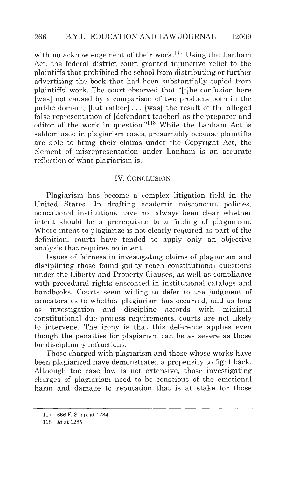with no acknowledgement of their work.<sup> $117$ </sup> Using the Lanham Act, the federal district court granted injunctive relief to the plaintiffs that prohibited the school from distributing or further advertising the book that had been substantially copied from plaintiffs' work. The court observed that "[t]he confusion here [was] not caused by a comparison of two products both in the public domain, (but rather] . . . [was] the result of the alleged false representation of [defendant teacher] as the preparer and editor of the work in question."<sup>118</sup> While the Lanham Act is seldom used in plagiarism cases, presumably because plaintiffs are able to bring their claims under the Copyright Act, the element of misrepresentation under Lanham is an accurate reflection of what plagiarism is.

#### IV. CONCLUSION

Plagiarism has become a complex litigation field in the United States. In drafting academic misconduct policies, educational institutions have not always been clear whether intent should be a prerequisite to a finding of plagiarism. Where intent to plagiarize is not clearly required as part of the definition, courts have tended to apply only an objective analysis that requires no intent.

Issues of fairness in investigating claims of plagiarism and disciplining those found guilty reach constitutional questions under the Liberty and Property Clauses, as well as compliance with procedural rights ensconced in institutional catalogs and handbooks. Courts seem willing to defer to the judgment of educators as to whether plagiarism has occurred, and as long as investigation and discipline accords with minimal constitutional due process requirements, courts are not likely to intervene. The irony is that this deference applies even though the penalties for plagiarism can be as severe as those for disciplinary infractions.

Those charged with plagiarism and those whose works have been plagiarized have demonstrated a propensity to fight back. Although the case law is not extensive, those investigating charges of plagiarism need to be conscious of the emotional harm and damage to reputation that is at stake for those

<sup>117. 666</sup> F. Supp. at 1284.

<sup>118.</sup> *Id.*at 1285.